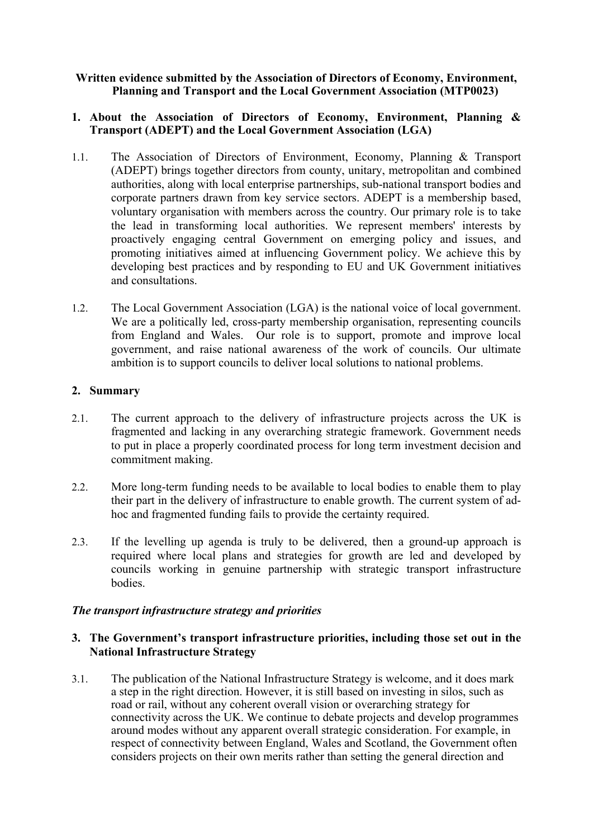#### **Written evidence submitted by the Association of Directors of Economy, Environment, Planning and Transport and the Local Government Association (MTP0023)**

#### **1. About the Association of Directors of Economy, Environment, Planning & Transport (ADEPT) and the Local Government Association (LGA)**

- 1.1. The Association of Directors of Environment, Economy, Planning & Transport (ADEPT) brings together directors from county, unitary, metropolitan and combined authorities, along with local enterprise partnerships, sub-national transport bodies and corporate partners drawn from key service sectors. ADEPT is a membership based, voluntary organisation with members across the country. Our primary role is to take the lead in transforming local authorities. We represent members' interests by proactively engaging central Government on emerging policy and issues, and promoting initiatives aimed at influencing Government policy. We achieve this by developing best practices and by responding to EU and UK Government initiatives and consultations.
- 1.2. The Local Government Association (LGA) is the national voice of local government. We are a politically led, cross-party membership organisation, representing councils from England and Wales. Our role is to support, promote and improve local government, and raise national awareness of the work of councils. Our ultimate ambition is to support councils to deliver local solutions to national problems.

## **2. Summary**

- 2.1. The current approach to the delivery of infrastructure projects across the UK is fragmented and lacking in any overarching strategic framework. Government needs to put in place a properly coordinated process for long term investment decision and commitment making.
- 2.2. More long-term funding needs to be available to local bodies to enable them to play their part in the delivery of infrastructure to enable growth. The current system of adhoc and fragmented funding fails to provide the certainty required.
- 2.3. If the levelling up agenda is truly to be delivered, then a ground-up approach is required where local plans and strategies for growth are led and developed by councils working in genuine partnership with strategic transport infrastructure bodies.

#### *The transport infrastructure strategy and priorities*

## **3. The Government's transport infrastructure priorities, including those set out in the National Infrastructure Strategy**

3.1. The publication of the National Infrastructure Strategy is welcome, and it does mark a step in the right direction. However, it is still based on investing in silos, such as road or rail, without any coherent overall vision or overarching strategy for connectivity across the UK. We continue to debate projects and develop programmes around modes without any apparent overall strategic consideration. For example, in respect of connectivity between England, Wales and Scotland, the Government often considers projects on their own merits rather than setting the general direction and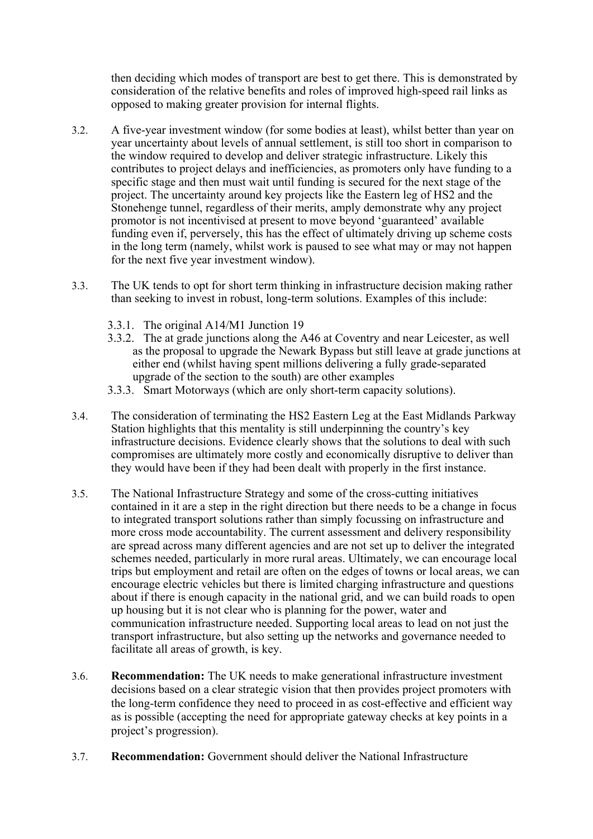then deciding which modes of transport are best to get there. This is demonstrated by consideration of the relative benefits and roles of improved high-speed rail links as opposed to making greater provision for internal flights.

- 3.2. A five-year investment window (for some bodies at least), whilst better than year on year uncertainty about levels of annual settlement, is still too short in comparison to the window required to develop and deliver strategic infrastructure. Likely this contributes to project delays and inefficiencies, as promoters only have funding to a specific stage and then must wait until funding is secured for the next stage of the project. The uncertainty around key projects like the Eastern leg of HS2 and the Stonehenge tunnel, regardless of their merits, amply demonstrate why any project promotor is not incentivised at present to move beyond 'guaranteed' available funding even if, perversely, this has the effect of ultimately driving up scheme costs in the long term (namely, whilst work is paused to see what may or may not happen for the next five year investment window).
- 3.3. The UK tends to opt for short term thinking in infrastructure decision making rather than seeking to invest in robust, long-term solutions. Examples of this include:
	- 3.3.1. The original A14/M1 Junction 19
	- 3.3.2. The at grade junctions along the A46 at Coventry and near Leicester, as well as the proposal to upgrade the Newark Bypass but still leave at grade junctions at either end (whilst having spent millions delivering a fully grade-separated upgrade of the section to the south) are other examples
	- 3.3.3. Smart Motorways (which are only short-term capacity solutions).
- 3.4. The consideration of terminating the HS2 Eastern Leg at the East Midlands Parkway Station highlights that this mentality is still underpinning the country's key infrastructure decisions. Evidence clearly shows that the solutions to deal with such compromises are ultimately more costly and economically disruptive to deliver than they would have been if they had been dealt with properly in the first instance.
- 3.5. The National Infrastructure Strategy and some of the cross-cutting initiatives contained in it are a step in the right direction but there needs to be a change in focus to integrated transport solutions rather than simply focussing on infrastructure and more cross mode accountability. The current assessment and delivery responsibility are spread across many different agencies and are not set up to deliver the integrated schemes needed, particularly in more rural areas. Ultimately, we can encourage local trips but employment and retail are often on the edges of towns or local areas, we can encourage electric vehicles but there is limited charging infrastructure and questions about if there is enough capacity in the national grid, and we can build roads to open up housing but it is not clear who is planning for the power, water and communication infrastructure needed. Supporting local areas to lead on not just the transport infrastructure, but also setting up the networks and governance needed to facilitate all areas of growth, is key.
- 3.6. **Recommendation:** The UK needs to make generational infrastructure investment decisions based on a clear strategic vision that then provides project promoters with the long-term confidence they need to proceed in as cost-effective and efficient way as is possible (accepting the need for appropriate gateway checks at key points in a project's progression).
- 3.7. **Recommendation:** Government should deliver the National Infrastructure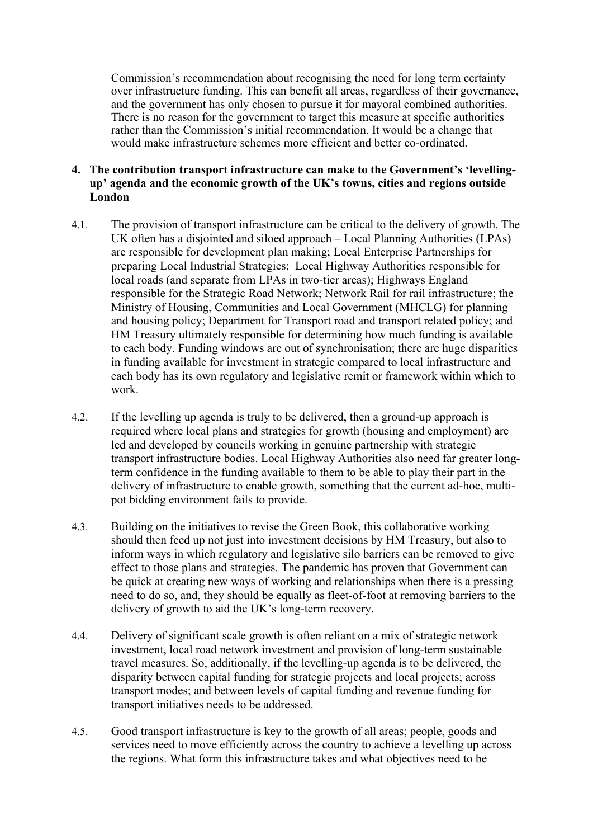Commission's recommendation about recognising the need for long term certainty over infrastructure funding. This can benefit all areas, regardless of their governance, and the government has only chosen to pursue it for mayoral combined authorities. There is no reason for the government to target this measure at specific authorities rather than the Commission's initial recommendation. It would be a change that would make infrastructure schemes more efficient and better co-ordinated.

## **4. The contribution transport infrastructure can make to the Government's 'levellingup' agenda and the economic growth of the UK's towns, cities and regions outside London**

- 4.1. The provision of transport infrastructure can be critical to the delivery of growth. The UK often has a disjointed and siloed approach – Local Planning Authorities (LPAs) are responsible for development plan making; Local Enterprise Partnerships for preparing Local Industrial Strategies; Local Highway Authorities responsible for local roads (and separate from LPAs in two-tier areas); Highways England responsible for the Strategic Road Network; Network Rail for rail infrastructure; the Ministry of Housing, Communities and Local Government (MHCLG) for planning and housing policy; Department for Transport road and transport related policy; and HM Treasury ultimately responsible for determining how much funding is available to each body. Funding windows are out of synchronisation; there are huge disparities in funding available for investment in strategic compared to local infrastructure and each body has its own regulatory and legislative remit or framework within which to work.
- 4.2. If the levelling up agenda is truly to be delivered, then a ground-up approach is required where local plans and strategies for growth (housing and employment) are led and developed by councils working in genuine partnership with strategic transport infrastructure bodies. Local Highway Authorities also need far greater longterm confidence in the funding available to them to be able to play their part in the delivery of infrastructure to enable growth, something that the current ad-hoc, multipot bidding environment fails to provide.
- 4.3. Building on the initiatives to revise the Green Book, this collaborative working should then feed up not just into investment decisions by HM Treasury, but also to inform ways in which regulatory and legislative silo barriers can be removed to give effect to those plans and strategies. The pandemic has proven that Government can be quick at creating new ways of working and relationships when there is a pressing need to do so, and, they should be equally as fleet-of-foot at removing barriers to the delivery of growth to aid the UK's long-term recovery.
- 4.4. Delivery of significant scale growth is often reliant on a mix of strategic network investment, local road network investment and provision of long-term sustainable travel measures. So, additionally, if the levelling-up agenda is to be delivered, the disparity between capital funding for strategic projects and local projects; across transport modes; and between levels of capital funding and revenue funding for transport initiatives needs to be addressed.
- 4.5. Good transport infrastructure is key to the growth of all areas; people, goods and services need to move efficiently across the country to achieve a levelling up across the regions. What form this infrastructure takes and what objectives need to be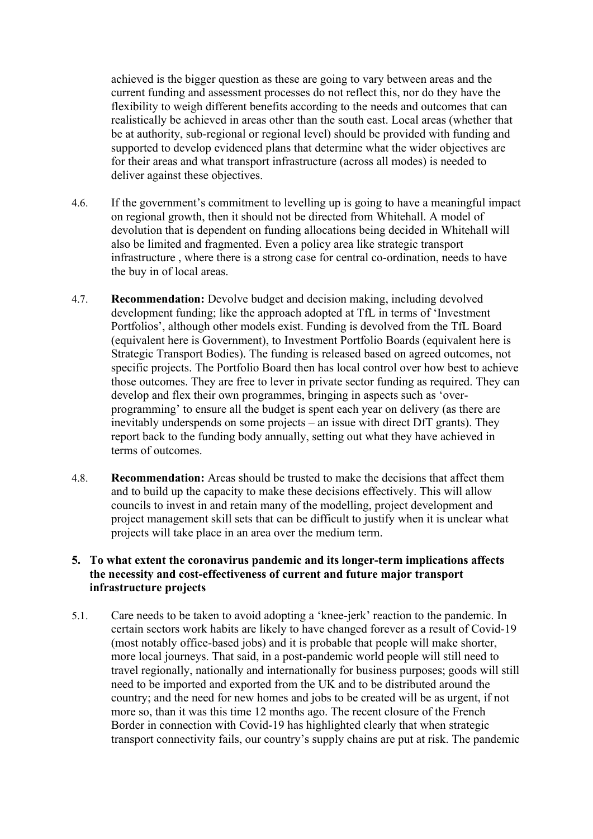achieved is the bigger question as these are going to vary between areas and the current funding and assessment processes do not reflect this, nor do they have the flexibility to weigh different benefits according to the needs and outcomes that can realistically be achieved in areas other than the south east. Local areas (whether that be at authority, sub-regional or regional level) should be provided with funding and supported to develop evidenced plans that determine what the wider objectives are for their areas and what transport infrastructure (across all modes) is needed to deliver against these objectives.

- 4.6. If the government's commitment to levelling up is going to have a meaningful impact on regional growth, then it should not be directed from Whitehall. A model of devolution that is dependent on funding allocations being decided in Whitehall will also be limited and fragmented. Even a policy area like strategic transport infrastructure , where there is a strong case for central co-ordination, needs to have the buy in of local areas.
- 4.7. **Recommendation:** Devolve budget and decision making, including devolved development funding; like the approach adopted at TfL in terms of 'Investment Portfolios', although other models exist. Funding is devolved from the TfL Board (equivalent here is Government), to Investment Portfolio Boards (equivalent here is Strategic Transport Bodies). The funding is released based on agreed outcomes, not specific projects. The Portfolio Board then has local control over how best to achieve those outcomes. They are free to lever in private sector funding as required. They can develop and flex their own programmes, bringing in aspects such as 'overprogramming' to ensure all the budget is spent each year on delivery (as there are inevitably underspends on some projects – an issue with direct DfT grants). They report back to the funding body annually, setting out what they have achieved in terms of outcomes.
- 4.8. **Recommendation:** Areas should be trusted to make the decisions that affect them and to build up the capacity to make these decisions effectively. This will allow councils to invest in and retain many of the modelling, project development and project management skill sets that can be difficult to justify when it is unclear what projects will take place in an area over the medium term.

## **5. To what extent the coronavirus pandemic and its longer-term implications affects the necessity and cost-effectiveness of current and future major transport infrastructure projects**

5.1. Care needs to be taken to avoid adopting a 'knee-jerk' reaction to the pandemic. In certain sectors work habits are likely to have changed forever as a result of Covid-19 (most notably office-based jobs) and it is probable that people will make shorter, more local journeys. That said, in a post-pandemic world people will still need to travel regionally, nationally and internationally for business purposes; goods will still need to be imported and exported from the UK and to be distributed around the country; and the need for new homes and jobs to be created will be as urgent, if not more so, than it was this time 12 months ago. The recent closure of the French Border in connection with Covid-19 has highlighted clearly that when strategic transport connectivity fails, our country's supply chains are put at risk. The pandemic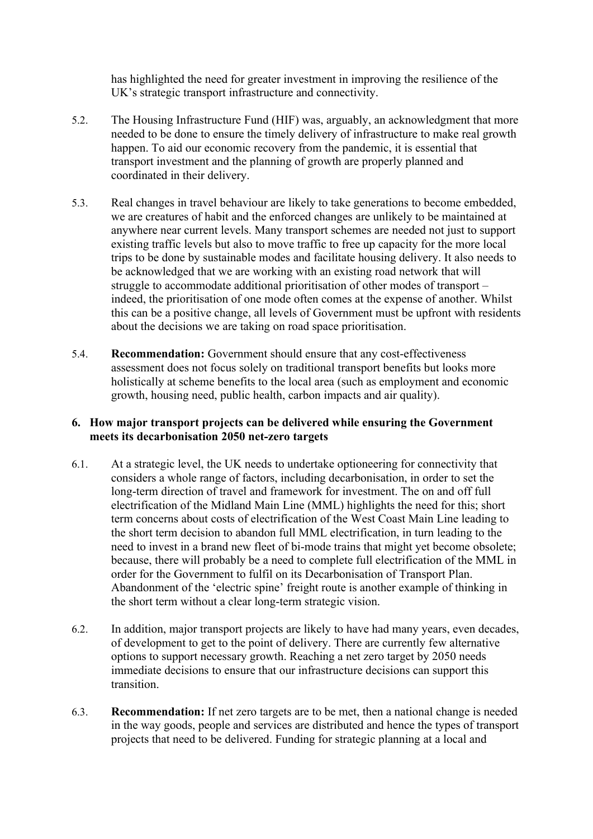has highlighted the need for greater investment in improving the resilience of the UK's strategic transport infrastructure and connectivity.

- 5.2. The Housing Infrastructure Fund (HIF) was, arguably, an acknowledgment that more needed to be done to ensure the timely delivery of infrastructure to make real growth happen. To aid our economic recovery from the pandemic, it is essential that transport investment and the planning of growth are properly planned and coordinated in their delivery.
- 5.3. Real changes in travel behaviour are likely to take generations to become embedded, we are creatures of habit and the enforced changes are unlikely to be maintained at anywhere near current levels. Many transport schemes are needed not just to support existing traffic levels but also to move traffic to free up capacity for the more local trips to be done by sustainable modes and facilitate housing delivery. It also needs to be acknowledged that we are working with an existing road network that will struggle to accommodate additional prioritisation of other modes of transport – indeed, the prioritisation of one mode often comes at the expense of another. Whilst this can be a positive change, all levels of Government must be upfront with residents about the decisions we are taking on road space prioritisation.
- 5.4. **Recommendation:** Government should ensure that any cost-effectiveness assessment does not focus solely on traditional transport benefits but looks more holistically at scheme benefits to the local area (such as employment and economic growth, housing need, public health, carbon impacts and air quality).

## **6. How major transport projects can be delivered while ensuring the Government meets its decarbonisation 2050 net-zero targets**

- 6.1. At a strategic level, the UK needs to undertake optioneering for connectivity that considers a whole range of factors, including decarbonisation, in order to set the long-term direction of travel and framework for investment. The on and off full electrification of the Midland Main Line (MML) highlights the need for this; short term concerns about costs of electrification of the West Coast Main Line leading to the short term decision to abandon full MML electrification, in turn leading to the need to invest in a brand new fleet of bi-mode trains that might yet become obsolete; because, there will probably be a need to complete full electrification of the MML in order for the Government to fulfil on its Decarbonisation of Transport Plan. Abandonment of the 'electric spine' freight route is another example of thinking in the short term without a clear long-term strategic vision.
- 6.2. In addition, major transport projects are likely to have had many years, even decades, of development to get to the point of delivery. There are currently few alternative options to support necessary growth. Reaching a net zero target by 2050 needs immediate decisions to ensure that our infrastructure decisions can support this transition.
- 6.3. **Recommendation:** If net zero targets are to be met, then a national change is needed in the way goods, people and services are distributed and hence the types of transport projects that need to be delivered. Funding for strategic planning at a local and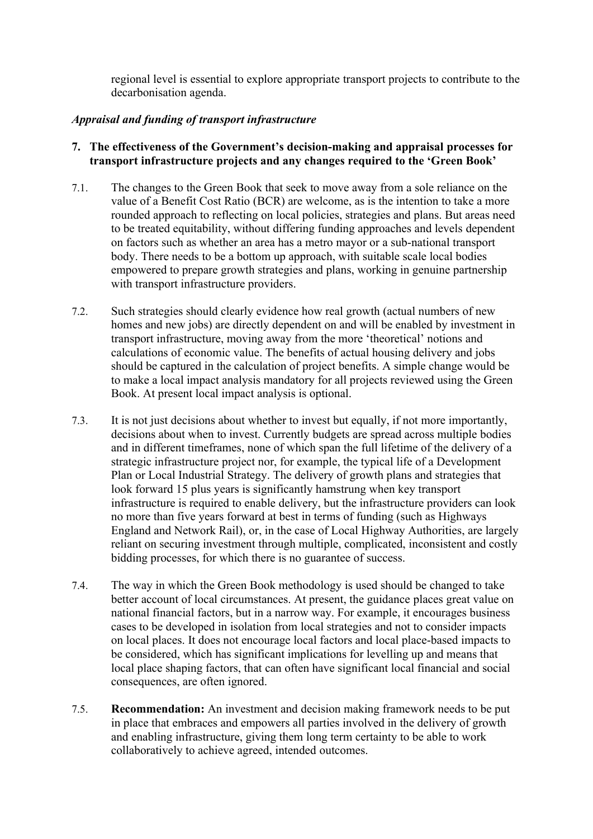regional level is essential to explore appropriate transport projects to contribute to the decarbonisation agenda.

## *Appraisal and funding of transport infrastructure*

- **7. The effectiveness of the Government's decision-making and appraisal processes for transport infrastructure projects and any changes required to the 'Green Book'**
- 7.1. The changes to the Green Book that seek to move away from a sole reliance on the value of a Benefit Cost Ratio (BCR) are welcome, as is the intention to take a more rounded approach to reflecting on local policies, strategies and plans. But areas need to be treated equitability, without differing funding approaches and levels dependent on factors such as whether an area has a metro mayor or a sub-national transport body. There needs to be a bottom up approach, with suitable scale local bodies empowered to prepare growth strategies and plans, working in genuine partnership with transport infrastructure providers.
- 7.2. Such strategies should clearly evidence how real growth (actual numbers of new homes and new jobs) are directly dependent on and will be enabled by investment in transport infrastructure, moving away from the more 'theoretical' notions and calculations of economic value. The benefits of actual housing delivery and jobs should be captured in the calculation of project benefits. A simple change would be to make a local impact analysis mandatory for all projects reviewed using the Green Book. At present local impact analysis is optional.
- 7.3. It is not just decisions about whether to invest but equally, if not more importantly, decisions about when to invest. Currently budgets are spread across multiple bodies and in different timeframes, none of which span the full lifetime of the delivery of a strategic infrastructure project nor, for example, the typical life of a Development Plan or Local Industrial Strategy. The delivery of growth plans and strategies that look forward 15 plus years is significantly hamstrung when key transport infrastructure is required to enable delivery, but the infrastructure providers can look no more than five years forward at best in terms of funding (such as Highways England and Network Rail), or, in the case of Local Highway Authorities, are largely reliant on securing investment through multiple, complicated, inconsistent and costly bidding processes, for which there is no guarantee of success.
- 7.4. The way in which the Green Book methodology is used should be changed to take better account of local circumstances. At present, the guidance places great value on national financial factors, but in a narrow way. For example, it encourages business cases to be developed in isolation from local strategies and not to consider impacts on local places. It does not encourage local factors and local place-based impacts to be considered, which has significant implications for levelling up and means that local place shaping factors, that can often have significant local financial and social consequences, are often ignored.
- 7.5. **Recommendation:** An investment and decision making framework needs to be put in place that embraces and empowers all parties involved in the delivery of growth and enabling infrastructure, giving them long term certainty to be able to work collaboratively to achieve agreed, intended outcomes.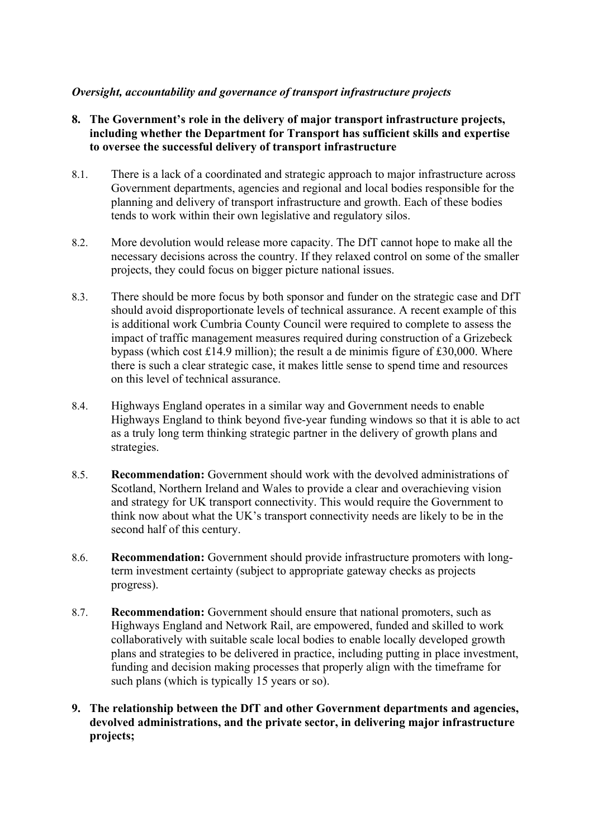# *Oversight, accountability and governance of transport infrastructure projects*

- **8. The Government's role in the delivery of major transport infrastructure projects, including whether the Department for Transport has sufficient skills and expertise to oversee the successful delivery of transport infrastructure**
- 8.1. There is a lack of a coordinated and strategic approach to major infrastructure across Government departments, agencies and regional and local bodies responsible for the planning and delivery of transport infrastructure and growth. Each of these bodies tends to work within their own legislative and regulatory silos.
- 8.2. More devolution would release more capacity. The DfT cannot hope to make all the necessary decisions across the country. If they relaxed control on some of the smaller projects, they could focus on bigger picture national issues.
- 8.3. There should be more focus by both sponsor and funder on the strategic case and DfT should avoid disproportionate levels of technical assurance. A recent example of this is additional work Cumbria County Council were required to complete to assess the impact of traffic management measures required during construction of a Grizebeck bypass (which cost £14.9 million); the result a de minimis figure of £30,000. Where there is such a clear strategic case, it makes little sense to spend time and resources on this level of technical assurance.
- 8.4. Highways England operates in a similar way and Government needs to enable Highways England to think beyond five-year funding windows so that it is able to act as a truly long term thinking strategic partner in the delivery of growth plans and strategies.
- 8.5. **Recommendation:** Government should work with the devolved administrations of Scotland, Northern Ireland and Wales to provide a clear and overachieving vision and strategy for UK transport connectivity. This would require the Government to think now about what the UK's transport connectivity needs are likely to be in the second half of this century.
- 8.6. **Recommendation:** Government should provide infrastructure promoters with longterm investment certainty (subject to appropriate gateway checks as projects progress).
- 8.7. **Recommendation:** Government should ensure that national promoters, such as Highways England and Network Rail, are empowered, funded and skilled to work collaboratively with suitable scale local bodies to enable locally developed growth plans and strategies to be delivered in practice, including putting in place investment, funding and decision making processes that properly align with the timeframe for such plans (which is typically 15 years or so).
- **9. The relationship between the DfT and other Government departments and agencies, devolved administrations, and the private sector, in delivering major infrastructure projects;**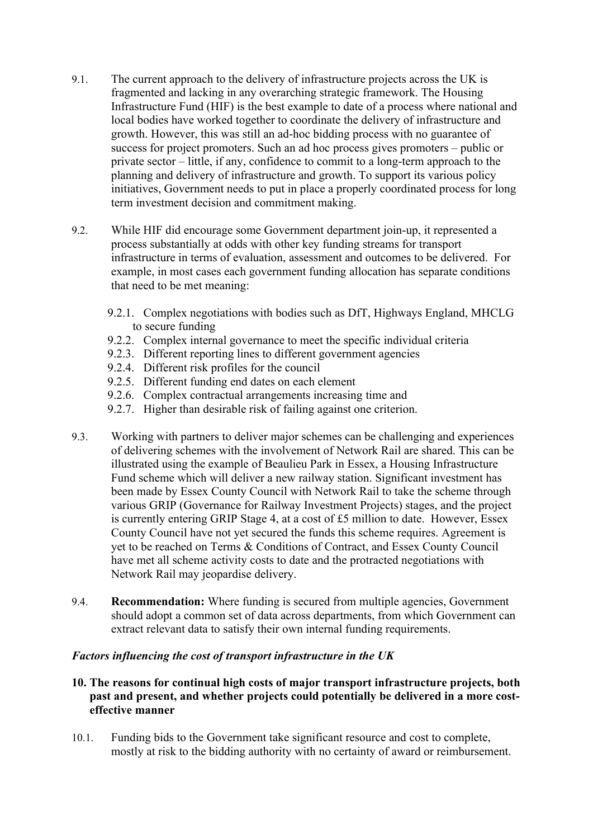- 9.1. The current approach to the delivery of infrastructure projects across the UK is fragmented and lacking in any overarching strategic framework. The Housing Infrastructure Fund (HIF) is the best example to date of a process where national and local bodies have worked together to coordinate the delivery of infrastructure and growth. However, this was still an ad-hoc bidding process with no guarantee of success for project promoters. Such an ad hoc process gives promoters – public or private sector – little, if any, confidence to commit to a long-term approach to the planning and delivery of infrastructure and growth. To support its various policy initiatives, Government needs to put in place a properly coordinated process for long term investment decision and commitment making.
- 9.2. While HIF did encourage some Government department join-up, it represented a process substantially at odds with other key funding streams for transport infrastructure in terms of evaluation, assessment and outcomes to be delivered. For example, in most cases each government funding allocation has separate conditions that need to be met meaning:
	- 9.2.1. Complex negotiations with bodies such as DfT, Highways England, MHCLG to secure funding
	- 9.2.2. Complex internal governance to meet the specific individual criteria
	- 9.2.3. Different reporting lines to different government agencies
	- 9.2.4. Different risk profiles for the council
	- 9.2.5. Different funding end dates on each element
	- 9.2.6. Complex contractual arrangements increasing time and
	- 9.2.7. Higher than desirable risk of failing against one criterion.
- 9.3. Working with partners to deliver major schemes can be challenging and experiences of delivering schemes with the involvement of Network Rail are shared. This can be illustrated using the example of Beaulieu Park in Essex, a Housing Infrastructure Fund scheme which will deliver a new railway station. Significant investment has been made by Essex County Council with Network Rail to take the scheme through various GRIP (Governance for Railway Investment Projects) stages, and the project is currently entering GRIP Stage 4, at a cost of £5 million to date. However, Essex County Council have not yet secured the funds this scheme requires. Agreement is yet to be reached on Terms & Conditions of Contract, and Essex County Council have met all scheme activity costs to date and the protracted negotiations with Network Rail may jeopardise delivery.
- 9.4. **Recommendation:** Where funding is secured from multiple agencies, Government should adopt a common set of data across departments, from which Government can extract relevant data to satisfy their own internal funding requirements.

#### *Factors influencing the cost of transport infrastructure in the UK*

- **10. The reasons for continual high costs of major transport infrastructure projects, both past and present, and whether projects could potentially be delivered in a more costeffective manner**
- 10.1. Funding bids to the Government take significant resource and cost to complete, mostly at risk to the bidding authority with no certainty of award or reimbursement.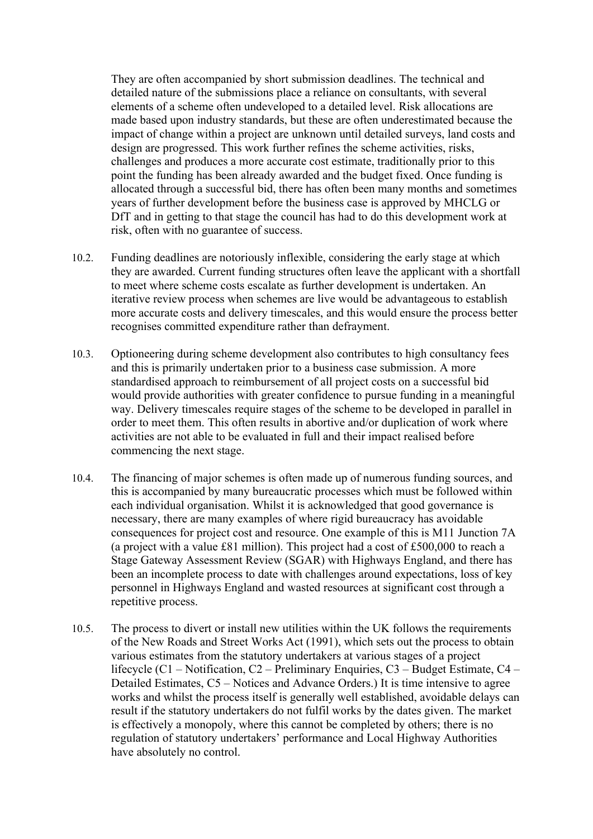They are often accompanied by short submission deadlines. The technical and detailed nature of the submissions place a reliance on consultants, with several elements of a scheme often undeveloped to a detailed level. Risk allocations are made based upon industry standards, but these are often underestimated because the impact of change within a project are unknown until detailed surveys, land costs and design are progressed. This work further refines the scheme activities, risks, challenges and produces a more accurate cost estimate, traditionally prior to this point the funding has been already awarded and the budget fixed. Once funding is allocated through a successful bid, there has often been many months and sometimes years of further development before the business case is approved by MHCLG or DfT and in getting to that stage the council has had to do this development work at risk, often with no guarantee of success.

- 10.2. Funding deadlines are notoriously inflexible, considering the early stage at which they are awarded. Current funding structures often leave the applicant with a shortfall to meet where scheme costs escalate as further development is undertaken. An iterative review process when schemes are live would be advantageous to establish more accurate costs and delivery timescales, and this would ensure the process better recognises committed expenditure rather than defrayment.
- 10.3. Optioneering during scheme development also contributes to high consultancy fees and this is primarily undertaken prior to a business case submission. A more standardised approach to reimbursement of all project costs on a successful bid would provide authorities with greater confidence to pursue funding in a meaningful way. Delivery timescales require stages of the scheme to be developed in parallel in order to meet them. This often results in abortive and/or duplication of work where activities are not able to be evaluated in full and their impact realised before commencing the next stage.
- 10.4. The financing of major schemes is often made up of numerous funding sources, and this is accompanied by many bureaucratic processes which must be followed within each individual organisation. Whilst it is acknowledged that good governance is necessary, there are many examples of where rigid bureaucracy has avoidable consequences for project cost and resource. One example of this is M11 Junction 7A (a project with a value £81 million). This project had a cost of £500,000 to reach a Stage Gateway Assessment Review (SGAR) with Highways England, and there has been an incomplete process to date with challenges around expectations, loss of key personnel in Highways England and wasted resources at significant cost through a repetitive process.
- 10.5. The process to divert or install new utilities within the UK follows the requirements of the New Roads and Street Works Act (1991), which sets out the process to obtain various estimates from the statutory undertakers at various stages of a project lifecycle (C1 – Notification, C2 – Preliminary Enquiries, C3 – Budget Estimate, C4 – Detailed Estimates, C5 – Notices and Advance Orders.) It is time intensive to agree works and whilst the process itself is generally well established, avoidable delays can result if the statutory undertakers do not fulfil works by the dates given. The market is effectively a monopoly, where this cannot be completed by others; there is no regulation of statutory undertakers' performance and Local Highway Authorities have absolutely no control.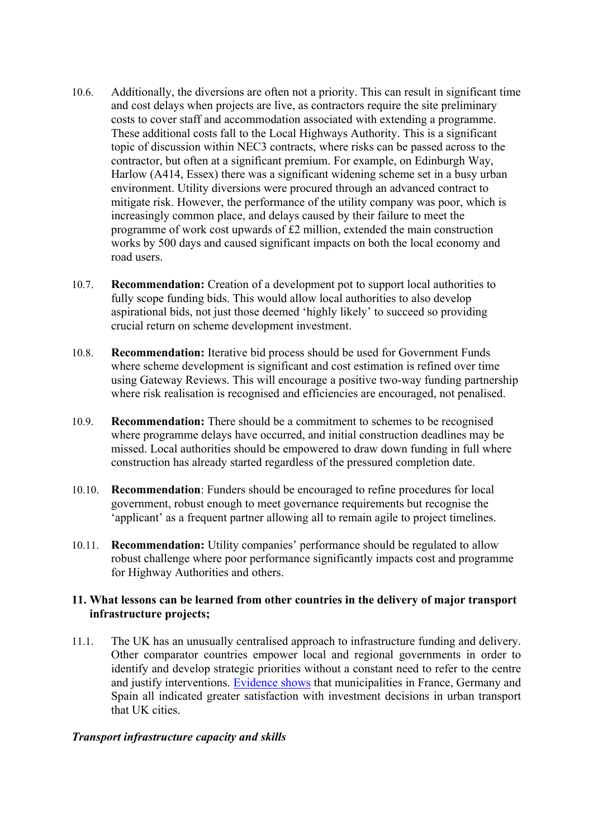- 10.6. Additionally, the diversions are often not a priority. This can result in significant time and cost delays when projects are live, as contractors require the site preliminary costs to cover staff and accommodation associated with extending a programme. These additional costs fall to the Local Highways Authority. This is a significant topic of discussion within NEC3 contracts, where risks can be passed across to the contractor, but often at a significant premium. For example, on Edinburgh Way, Harlow (A414, Essex) there was a significant widening scheme set in a busy urban environment. Utility diversions were procured through an advanced contract to mitigate risk. However, the performance of the utility company was poor, which is increasingly common place, and delays caused by their failure to meet the programme of work cost upwards of £2 million, extended the main construction works by 500 days and caused significant impacts on both the local economy and road users.
- 10.7. **Recommendation:** Creation of a development pot to support local authorities to fully scope funding bids. This would allow local authorities to also develop aspirational bids, not just those deemed 'highly likely' to succeed so providing crucial return on scheme development investment.
- 10.8. **Recommendation:** Iterative bid process should be used for Government Funds where scheme development is significant and cost estimation is refined over time using Gateway Reviews. This will encourage a positive two-way funding partnership where risk realisation is recognised and efficiencies are encouraged, not penalised.
- 10.9. **Recommendation:** There should be a commitment to schemes to be recognised where programme delays have occurred, and initial construction deadlines may be missed. Local authorities should be empowered to draw down funding in full where construction has already started regardless of the pressured completion date.
- 10.10. **Recommendation**: Funders should be encouraged to refine procedures for local government, robust enough to meet governance requirements but recognise the 'applicant' as a frequent partner allowing all to remain agile to project timelines.
- 10.11. **Recommendation:** Utility companies' performance should be regulated to allow robust challenge where poor performance significantly impacts cost and programme for Highway Authorities and others.

# **11. What lessons can be learned from other countries in the delivery of major transport infrastructure projects;**

11.1. The UK has an unusually centralised approach to infrastructure funding and delivery. Other comparator countries empower local and regional governments in order to identify and develop strategic priorities without a constant need to refer to the centre and justify interventions. [Evidence](https://www.eib.org/attachments/efs/eibis_2017_municipality_eu_overview_en.pdf#page=4) [shows](https://www.eib.org/attachments/efs/eibis_2017_municipality_eu_overview_en.pdf#page=4) that municipalities in France, Germany and Spain all indicated greater satisfaction with investment decisions in urban transport that UK cities.

# *Transport infrastructure capacity and skills*